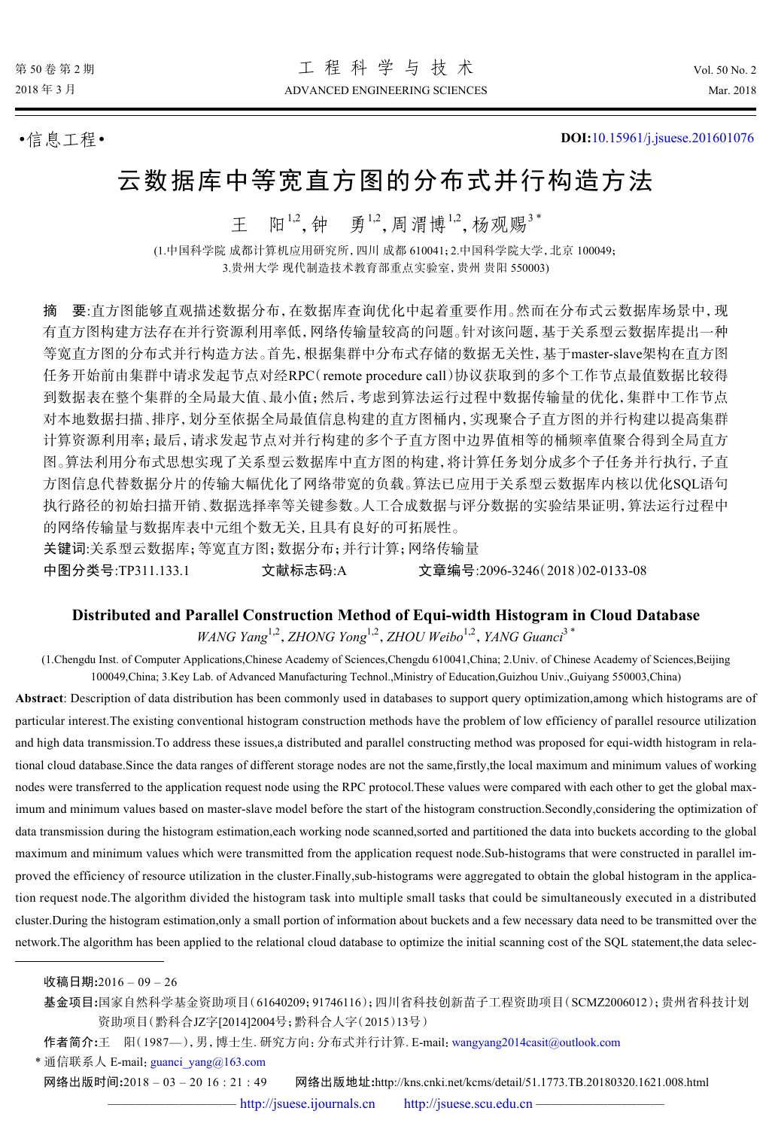•信息工程• **DOI:**[10.15961/j.jsuese.201601076](http://dx.doi.org/10.15961/j.jsuese.201601076)

# 云数据库中等宽直方图的分布式并行构造方法

王 阳<sup>1,2</sup>,钟 勇<sup>1,2</sup>,周渭博<sup>1,2</sup>,杨观赐<sup>3\*</sup>

(1.中国科学院 成都计算机应用研究所,四川 成都 610041;2.中国科学院大学,北京 100049; 3.贵州大学 现代制造技术教育部重点实验室,贵州 贵阳 550003)

摘 要:直方图能够直观描述数据分布,在数据库查询优化中起着重要作用。然而在分布式云数据库场景中,现 有直方图构建方法存在并行资源利用率低,网络传输量较高的问题。针对该问题,基于关系型云数据库提出一种 等宽直方图的分布式并行构造方法。首先,根据集群中分布式存储的数据无关性,基于master-slave架构在直方图 任务开始前由集群中请求发起节点对经RPC(remote procedure call)协议获取到的多个工作节点最值数据比较得 到数据表在整个集群的全局最大值、最小值;然后,考虑到算法运行过程中数据传输量的优化,集群中工作节点 对本地数据扫描、排序,划分至依据全局最值信息构建的直方图桶内,实现聚合子直方图的并行构建以提高集群 计算资源利用率;最后,请求发起节点对并行构建的多个子直方图中边界值相等的桶频率值聚合得到全局直方 图。算法利用分布式思想实现了关系型云数据库中直方图的构建,将计算任务划分成多个子任务并行执行,子直 方图信息代替数据分片的传输大幅优化了网络带宽的负载。算法已应用于关系型云数据库内核以优化SQL语句 执行路径的初始扫描开销、数据选择率等关键参数。人工合成数据与评分数据的实验结果证明,算法运行过程中 的网络传输量与数据库表中元组个数无关,且具有良好的可拓展性。

关键词:关系型云数据库;等宽直方图;数据分布;并行计算;网络传输量

中图分类号:TP311.133.1 文献标志码:A 文章编号:2096-3246(2018)02-0133-08

#### **Distributed and Parallel Construction Method of Equi-width Histogram in Cloud Database**

WANG Yang<sup>1,2</sup>, ZHONG Yong<sup>1,2</sup>, ZHOU Weibo<sup>1,2</sup>, YANG Guanci<sup>3\*</sup>

(1.Chengdu Inst. of Computer Applications,Chinese Academy of Sciences,Chengdu 610041,China; 2.Univ. of Chinese Academy of Sciences,Beijing 100049,China; 3.Key Lab. of Advanced Manufacturing Technol.,Ministry of Education,Guizhou Univ.,Guiyang 550003,China)

**Abstract**: Description of data distribution has been commonly used in databases to support query optimization,among which histograms are of particular interest.The existing conventional histogram construction methods have the problem of low efficiency of parallel resource utilization and high data transmission.To address these issues,a distributed and parallel constructing method was proposed for equi-width histogram in relational cloud database.Since the data ranges of different storage nodes are not the same,firstly,the local maximum and minimum values of working nodes were transferred to the application request node using the RPC protocol.These values were compared with each other to get the global maximum and minimum values based on master-slave model before the start of the histogram construction.Secondly,considering the optimization of data transmission during the histogram estimation,each working node scanned,sorted and partitioned the data into buckets according to the global maximum and minimum values which were transmitted from the application request node.Sub-histograms that were constructed in parallel improved the efficiency of resource utilization in the cluster.Finally,sub-histograms were aggregated to obtain the global histogram in the application request node.The algorithm divided the histogram task into multiple small tasks that could be simultaneously executed in a distributed cluster.During the histogram estimation,only a small portion of information about buckets and a few necessary data need to be transmitted over the network.The algorithm has been applied to the relational cloud database to optimize the initial scanning cost of the SQL statement,the data selec-

基金项目**:**国家自然科学基金资助项目(61640209;91746116);四川省科技创新苗子工程资助项目(SCMZ2006012);贵州省科技计划 资助项目(黔科合JZ字[2014]2004号;黔科合人字(2015)13号)

作者简介**:**王 阳(1987—),男,博士生. 研究方向:分布式并行计算. E-mail:[wangyang2014casit@outlook.com](mailto:wangyang2014casit@outlook.com)

\* 通信联系人 E-mail: [guanci\\_yang@163.com](mailto:guanci_yang@163.com)

网络出版时间**:**2018 – 03 – 20 16 : 21 : 49 网络出版地址**:**http://kns.cnki.net/kcms/detail/51.1773.TB.20180320.1621.008.html

—— <http://jsuese.ijournals.cn> <http://jsuese.scu.edu.cn> –

收稿日期**:**2016 – 09 – 26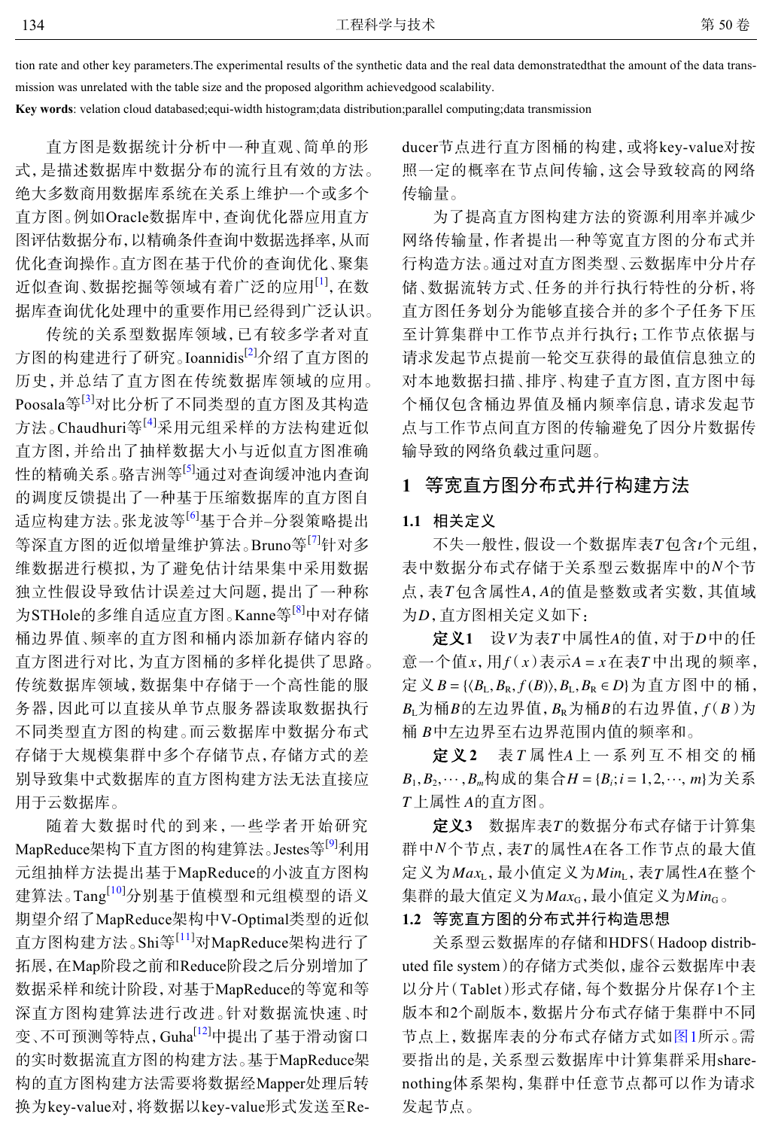tion rate and other key parameters.The experimental results of the synthetic data and the real data demonstratedthat the amount of the data transmission was unrelated with the table size and the proposed algorithm achievedgood scalability.

**Key words**: velation cloud databased;equi-width histogram;data distribution;parallel computing;data transmission

直方图是数据统计分析中一种直观、简单的形 式,是描述数据库中数据分布的流行且有效的方法。 绝大多数商用数据库系统在关系上维护一个或多个 直方图。例如Oracle数据库中,查询优化器应用直方 图评估数据分布,以精确条件查询中数据选择率,从而 优化查询操作。直方图在基于代价的查询优化、聚集 近似查询、数据挖掘等领域有着广泛的应用<sup>[\[1\]](#page-7-0)</sup>, 在数 据库查询优化处理中的重要作用已经得到广泛认识。

传统的关系型数据库领域,已有较多学者对直 方图的构建进行了研究。Ioannidis<sup>[\[2\]](#page-7-1)</sup>介绍了直方图的 历史,并总结了直方图在传统数据库领域的应用。 Poosala等<sup>[[3](#page-7-2)]</sup>对比分析了不同类型的直方图及其构造 方法。Chaudhuri等<sup>[[4](#page-7-3)]</sup>采用元组采样的方法构建近似 直方图,并给出了抽样数据大小与近似直方图准确 性的精确关系。骆吉洲等<sup>[\[5\]](#page-7-4)</sup>通过对查询缓冲池内查询 的调度反馈提出了一种基于压缩数据库的直方图自 适应构建方法。张龙波等[[6](#page-7-5)]基于合并–分裂策略提出 等深直方图的近似增量维护算法。Bruno等<sup>[[7](#page-7-6)]</sup>针对多 维数据进行模拟,为了避免估计结果集中采用数据 独立性假设导致估计误差过大问题,提出了一种称 为STHole的多维自适应直方图。Kanne等[\[8](#page-7-7)]中对存储 桶边界值、频率的直方图和桶内添加新存储内容的 直方图进行对比,为直方图桶的多样化提供了思路。 传统数据库领域,数据集中存储于一个高性能的服 务器,因此可以直接从单节点服务器读取数据执行 不同类型直方图的构建。而云数据库中数据分布式 存储于大规模集群中多个存储节点,存储方式的差 别导致集中式数据库的直方图构建方法无法直接应 用于云数据库。

随着大数据时代的到来,一些学者开始研究 MapReduce架构下直方图的构建算法。Jestes等<sup>[[9](#page-7-8)]</sup>利用 元组抽样方法提出基于MapReduce的小波直方图构 建算法。Tang<sup>[[10](#page-7-9)]</sup>分别基于值模型和元组模型的语义 期望介绍了MapReduce架构中V-Optimal类型的近似 直方图构建方法。Shi等[[11](#page-7-10)]对MapReduce架构进行了 拓展,在Map阶段之前和Reduce阶段之后分别增加了 数据采样和统计阶段,对基于MapReduce的等宽和等 深直方图构建算法进行[改进](#page-7-11)。针对数据流快速、时 变、不可预测等特点,Guha[[12\]](#page-7-11)中提出了基于滑动窗口 的实时数据流直方图的构建方法。基于MapReduce架 构的直方图构建方法需要将数据经Mapper处理后转 换为key-value对,将数据以key-value形式发送至Reducer节点进行直方图桶的构建,或将key-value对按 照一定的概率在节点间传输,这会导致较高的网络 传输量。

为了提高直方图构建方法的资源利用率并减少 网络传输量,作者提出一种等宽直方图的分布式并 行构造方法。通过对直方图类型、云数据库中分片存 储、数据流转方式、任务的并行执行特性的分析,将 直方图任务划分为能够直接合并的多个子任务下压 至计算集群中工作节点并行执行;工作节点依据与 请求发起节点提前一轮交互获得的最值信息独立的 对本地数据扫描、排序、构建子直方图,直方图中每 个桶仅包含桶边界值及桶内频率信息,请求发起节 点与工作节点间直方图的传输避免了因分片数据传 输导致的网络负载过重问题。

# **1** 等宽直方图分布式并行构建方法

#### **1.1** 相关定义

不失一般性,假设一个数据库表T包含t个元组, 表中数据分布式存储于关系型云数据库中的N个节 点, 表T包含属性A, A的值是整数或者实数, 其值域 为D,直方图相关定义如下:

 $\mathcal{L} \mathbf{X} \mathbf{1}$  设 V 为表 T 中属性 A 的值,对于 D 中的任  $\tilde{\mathbb{E}}$ 一个值 *x* , 用 $f(x)$ 表示 *A* =  $x$ 在表 T 中出现的频率,  $E \nsubseteq \nsubseteq B = \{ \langle B_{\text{L}}, B_{\text{R}}, f(B) \rangle, B_{\text{L}}, B_{\text{R}} \in D \}$ 为直方图中的桶,  $B_{\text{L}}$ 为桶 $B$ 的左边界值, $B_{\text{R}}$ 为桶 $B$ 的右边界值, $f(B)$ 为 桶 *B*中左边界至右边界范围内值的频率和。

定义2 表 T 属 性A 上 一 系 列 互 不 相 交 的 桶  $B_1, B_2, \cdots, B_m$ 构成的集合 $H = \{B_i; i = 1, 2, \cdots, m\}$ 为关系  $T$ 上属性 A的直方图。

**定义3** 数据库表T的数据分布式存储于计算集 群中 N 个节点, 表 T 的属性 A 在 各 工 作 节 点 的 最 大 值 *Max*<sup>L</sup> *Min*<sup>L</sup> *T A* 定义为 ,最小值定义为 ,表 属性 在整个 集群的最大值定义为*Max<sub>G</sub>,*最小值定义为*Min<sub>G。</sub>* 

## **1.2** 等宽直方图的分布式并行构造思想

关系型云数据库的存储和HDFS(Hadoop distributed file system)的存储方式类似,虚谷云数据库中表 以分片(Tablet)形式存储,每个数据分片保存1个主 版本和2个副版本,数据片分布式存储[于集群](#page-2-0)中不同 节点上,数据库表的分布式存储方式如[图](#page-2-0)[1](#page-2-0)所示。需 要指出的是,关系型云数据库中计算集群采用sharenothing体系架构,集群中任意节点都可以作为请求 发起节点。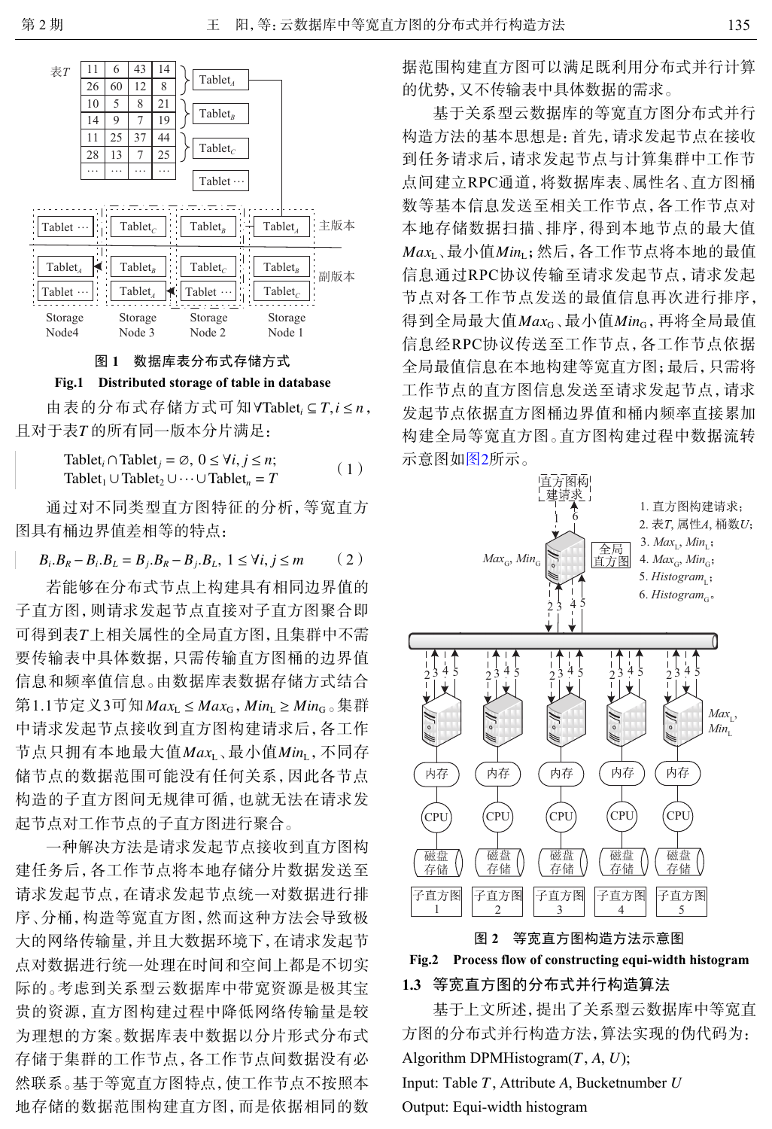<span id="page-2-0"></span>





 $\exists$  由表的分布式存储方式可知∀Tablet<sub>*i*</sub> ⊆  $T, i$  ≤  $n$ , 且对于表T的所有同一版本分片满足:

Tablet<sub>i</sub> 
$$
\cap
$$
 Tablet<sub>j</sub> =  $\emptyset$ ,  $0 \le \forall i, j \le n$ ;  
Tablet<sub>1</sub>  $\cup$  Tablet<sub>2</sub>  $\cup \cdots \cup$  Tablet<sub>n</sub> = T (1)

通过对不同类型直方图特征的分析,等宽直方 图具有桶边界值差相等的特点:

$$
B_i.B_R - B_i.B_L = B_j.B_R - B_j.B_L, 1 \le \forall i, j \le m \qquad (2)
$$

可得到表T上相关属性的全局直方图,且集群中不需 第1.1节定义3可知*Max*<sub>L</sub> ≤ *Max*<sub>G</sub> , *Min*<sub>L</sub> ≥ *Min*<sub>G ○</sub>集群 节点只拥有本地最大值*Max*<sub>L</sub>、最小值*Min*<sub>L,</sub>不同存 若能够在分布式节点上构建具有相同边界值的 子直方图,则请求发起节点直接对子直方图聚合即 要传输表中具体数据,只需传输直方图桶的边界值 信息和频率值信息。由数据库表数据存储方式结合 中请求发起节点接收到直方图构建请求后,各工作 储节点的数据范围可能没有任何关系,因此各节点 构造的子直方图间无规律可循,也就无法在请求发 起节点对工作节点的子直方图进行聚合。

一种解决方法是请求发起节点接收到直方图构 建任务后,各工作节点将本地存储分片数据发送至 请求发起节点,在请求发起节点统一对数据进行排 序、分桶,构造等宽直方图,然而这种方法会导致极 大的网络传输量,并且大数据环境下,在请求发起节 点对数据进行统一处理在时间和空间上都是不切实 际的。考虑到关系型云数据库中带宽资源是极其宝 贵的资源,直方图构建过程中降低网络传输量是较 为理想的方案。数据库表中数据以分片形式分布式 存储于集群的工作节点,各工作节点间数据没有必 然联系。基于等宽直方图特点,使工作节点不按照本 地存储的数据范围构建直方图,而是依据相同的数 据范围构建直方图可以满足既利用分布式并行计算 的优势,又不传输表中具体数据的需求。

 ${\it Max}_{\rm L}$ 、最小值 ${\it Min}_{\rm L}$ ; 然后, 各工作节点将本地的最值 得到全局最大值*Max*<sub>G</sub>、最小值*Min*<sub>G,</sub>再将全局最值 基于关系型云数据库的等宽直方图分布式并行 构造方法的基本思想是:首先,请求发起节点在接收 到任务请求后,请求发起节点与计算集群中工作节 点间建立RPC通道,将数据库表、属性名、直方图桶 数等基本信息发送至相关工作节点,各工作节点对 本地存储数据扫描、排序,得到本地节点的最大值 信息通过RPC协议传输至请求发起节点,请求发起 节点对各工作节点发送的最值信息再次进行排序, 信息经RPC协议传送至工作节点,各工作节点依据 全局最值信息在本地构建等宽直方图;最后,只需将 工作节点的直方图信息发送至请求发起节点,请求 发起节点依据直方图桶边界值和桶内频率直接累加 构建全局等宽直方图。直方图构建过程中数据流转 示意图如[图](#page-2-1)[2](#page-2-1)所示。

<span id="page-2-1"></span>

图 **2** 等宽直方图构造方法示意图



## **1.3** 等宽直方图的分布式并行构造算法

基于上文所述,提出了关系型云数据库中等宽直 方图的分布式并行构造方法,算法实现的伪代码为: Algorithm DPMHistogram( *T* , *A*, *U* ); Input: Table *T* , Attribute *A* , Bucketnumber *U* Output: Equi-width histogram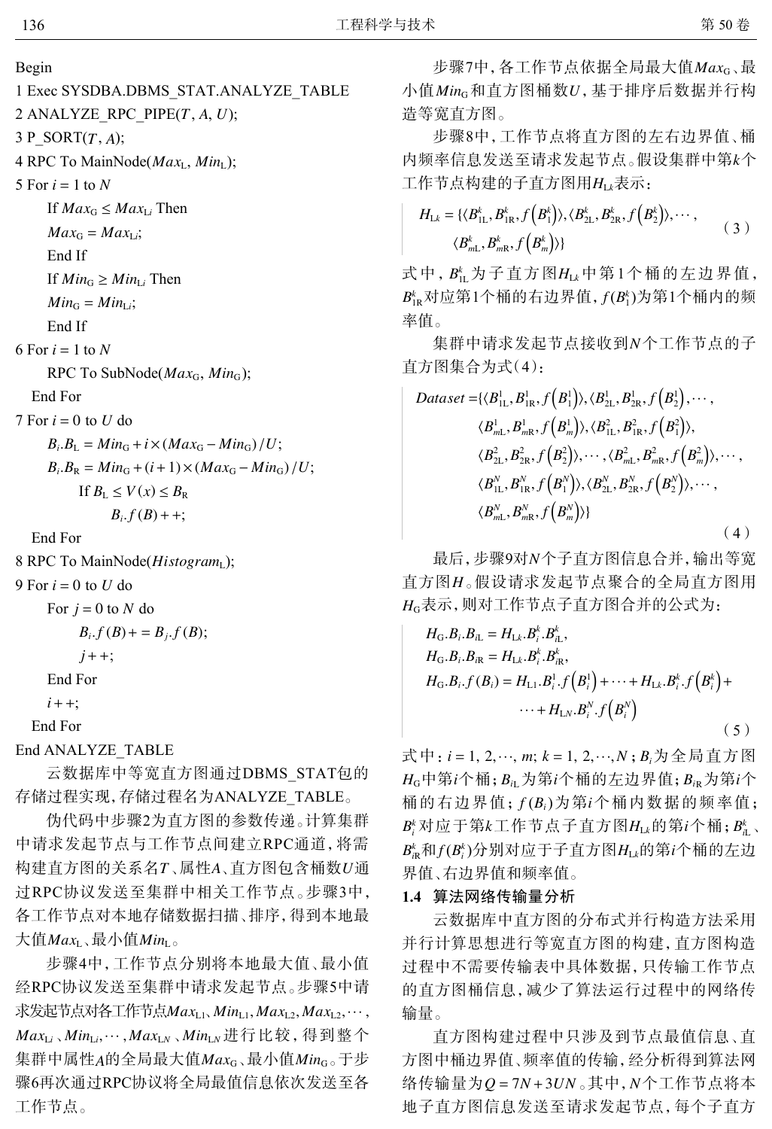Begin

- 1 Exec SYSDBA.DBMS\_STAT.ANALYZE\_TABLE
- 2 ANALYZE\_RPC\_PIPE( *T* , *A*, *U* );
- $3 P_SORT(T, A);$
- 4 RPC To MainNode( *Max*L, *Min*L);
- 5 For  $i = 1$  to  $N$
- If  $Max_G \leq Max_{Li}$  Then
- $Max_G = Max_{Li}$ ;

End If

- If  $Min_{G} \geq Min_{Li}$  Then
- $Min_G = Min_{Li}$ ;
- End If
- $6$  For  $i = 1$  to N

RPC To SubNode(*Max*<sub>G</sub>, *Min*<sub>G</sub>);

End For

 $7 \text{ For } i = 0 \text{ to } U \text{ do}$ 

$$
B_i.B_L = Min_G + i \times (Max_G - Min_G) / U;
$$
  
\n
$$
B_i.B_R = Min_G + (i+1) \times (Max_G - Min_G) / U;
$$
  
\nIf  $B_L \le V(x) \le B_R$ 

 $B_i.f(B)$  + +;

End For

8 RPC To MainNode( *Histogram*L);

9 For *i* = 0 to *U* do

For  $j = 0$  to N do

$$
B_i.f(B) + B_j.f(B);
$$
  

$$
j++;
$$
  
End For  

$$
i++;
$$

End For

End ANALYZE\_TABLE

云数据库中等宽直方图通过DBMS\_STAT包的 存储过程实现,存储过程名为ANALYZE\_TABLE。

构建直方图的关系名T﹑属性A﹑直方图包含桶数U通 大值 $\mathit{Max}_{\text{L}}$ 、最小值 $\mathit{Min}_{\text{L}}$ 。 伪代码中步骤2为直方图的参数传递。计算集群 中请求发起节点与工作节点间建立RPC通道,将需 过RPC协议发送至集群中相关工作节点。步骤3中, 各工作节点对本地存储数据扫描、排序,得到本地最

求发起节点对各工作节点Max<sub>L1</sub>、Min<sub>L1</sub>,Max<sub>L2</sub>,Max<sub>L2</sub>,…,  ${\it Max}_{\rm Li}$  ,  ${\it Min}_{\rm Li}, \cdots$  ,  ${\it Max}_{\rm LN}$  ,  ${\it Min}_{\rm LN}$  进行比较 , 得到整个 集群中属性A的全局最大值*Max*<sub>G</sub>、最小值*Min*<sub>G。</sub>于步 步骤4中,工作节点分别将本地最大值、最小值 经RPC协议发送至集群中请求发起节点。步骤5中请 骤6再次通过RPC协议将全局最值信息依次发送至各 工作节点。

步骤7中,各工作节点依据全局最大值*Max*<sub>G</sub>、最 小值*Min*<sub>G</sub>和直方图桶数U,基于排序后数据并行构 造等宽直方图。

内频率信息发送至请求发起节点。假设集群中第*k*个 工作节点构建的子直方图用*H<sub>Lk</sub>表示*: 步骤8中,工作节点将直方图的左右边界值、桶

$$
H_{\rm Lk} = \{ \langle B_{\rm 1L}^k, B_{\rm 1R}^k, f(B_1^k) \rangle, \langle B_{\rm 2L}^k, B_{\rm 2R}^k, f(B_2^k) \rangle, \cdots, \langle B_{mL}^k, B_{mR}^k, f(B_m^k) \rangle \}
$$
(3)

式中,  $B_{\textrm{L}}^{\textrm{k}}$ 为子直方图 $H_{\textrm{Lk}}$ 中第1个桶的左边界值,  $B^{\scriptscriptstyle{k}}_{\scriptscriptstyle{\mathrm{IR}}}$ 对应第1个桶的右边界值,  $f(B^{\scriptscriptstyle{k}}_{\scriptscriptstyle{\mathrm{I}}})$ 为第1个桶内的频 率值。

集群中请求发起节点接收到 *N* 个工作节点的子 直方图集合为式(4):

$$
Dataset = \{ \langle B_{1L}^1, B_{1R}^1, f(B_1^1) \rangle, \langle B_{2L}^1, B_{2R}^1, f(B_2^1), \cdots, \\ \langle B_{mL}^1, B_{mR}^1, f(B_m^1) \rangle, \langle B_{1L}^2, B_{1R}^2, f(B_1^2) \rangle, \\ \langle B_{2L}^2, B_{2R}^2, f(B_2^2) \rangle, \cdots, \langle B_{mL}^2, B_{mR}^2, f(B_m^2) \rangle, \cdots, \\ \langle B_{1L}^N, B_{1R}^N, f(B_1^N) \rangle, \langle B_{2L}^N, B_{2R}^N, f(B_2^N) \rangle, \cdots, \\ \langle B_{mL}^N, B_{mR}^N, f(B_m^N) \rangle \}
$$
\n(4)

最后,步骤9对*N*个子直方图信息合并,输出等宽 直方图 H 。假设请求发起节点聚合的全局直方图用 *H*<sup>G</sup> 表示,则对工作节点子直方图合并的公式为:

$$
H_{\rm G}.B_{i}.B_{iL} = H_{\rm Lk}.B_{i}^{k}.B_{iL}^{k},H_{\rm G}.B_{i}.B_{iR} = H_{\rm Lk}.B_{i}^{k}.B_{iR}^{k},H_{\rm G}.B_{i}.f(B_{i}) = H_{\rm L1}.B_{i}^{1}.f(B_{i}^{1}) + \cdots + H_{\rm Lk}.B_{i}^{k}.f(B_{i}^{k}) +\cdots + H_{\rm LN}.B_{i}^{N}.f(B_{i}^{N})
$$
\n(5)

式中: *i* = 1, 2,…, *m*; *k* = 1, 2,…, *N* ; *B*<sub>*i*</sub>为全局直方图  $H_{\text{G}}$ 中第 $i$ 个桶;  $B_{i\text{L}}$ 为第 $i$ 个桶的左边界值;  $B_{i\text{R}}$ 为第 $i$ 个 桶的右边界值;  $f(B_i)$ 为第 $i$ 个桶内数据的频率值;  $B_i^k$ 对应于第 $k$ 工作节点子直方图 $H_{\rm Lk}$ 的第 $i$ 个桶; $B_{\rm L}^k$ 、  $B^k_{\scriptscriptstyle{\rm I\!R}}$ 和 $f$ ( $B^k_{\scriptscriptstyle{\rm I}}$ )分别对应于子直方图 $H_{\scriptscriptstyle{\rm LA}}$ 的第 $i$ 个桶的左边 界值、右边界值和频率值。

#### **1.4** 算法网络传输量分析

云数据库中直方图的分布式并行构造方法采用 并行计算思想进行等宽直方图的构建,直方图构造 过程中不需要传输表中具体数据,只传输工作节点 的直方图桶信息,减少了算法运行过程中的网络传 输量。

络传输量为Q=7*N* + 3UN 。其中, *N*个工作节点将本 直方图构建过程中只涉及到节点最值信息、直 方图中桶边界值、频率值的传输,经分析得到算法网 地子直方图信息发送至请求发起节点,每个子直方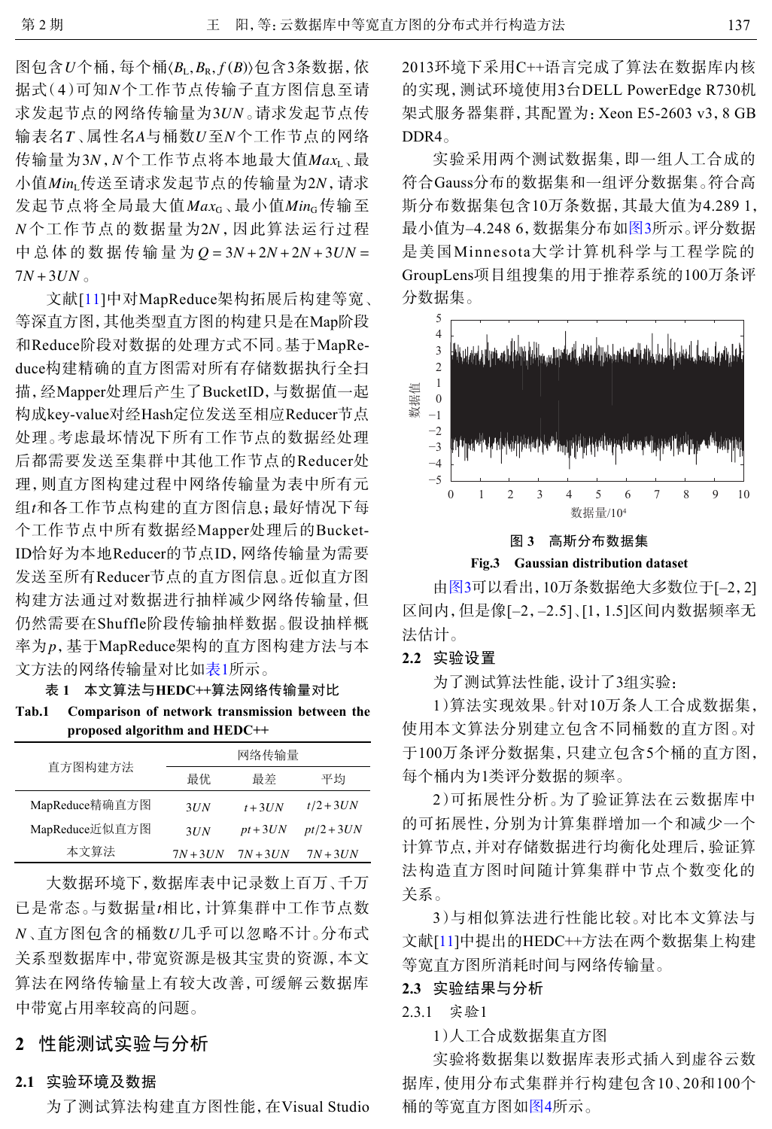图包含 $U \triangle \mathcal{H}$ ,每个桶〈 $B_{\text{L}}, B_{\text{R}}, f(B)$ 〉包含3条数据,依 据式(4)可知N个工作节点传输子直方图信息至请 求发起节点的网络传输量为3UN。请求发起节点传 输表名T、属性名A与桶数U至N个工作节点的网络 传输量为3N,N个工作节点将本地最大值*Max*<sub>L</sub>、最 小值Min*L*传送至请求发起节点的传输量为2N,请求 发起节点将全局最大值 $\mathit{Max}_G$ 、最小值 $\mathit{Min}_G$ 传输至 *N* 个工作节点的数据量为2*N* , 因此算法运行过程 *Q* = 3*N* +2*N* +2*N* +3*UN* = 中总体的数据传输量为 7*N* +3*UN* 。

*t* 组 和各工作节点构建的直方图信息;最好情况下每 率为 p ,基于MapReduce架构的直方图构建方法与本 文献[[11](#page-7-10)]中对MapReduce架构拓展后构建等宽、 等深直方图,其他类型直方图的构建只是在Map阶段 和Reduce阶段对数据的处理方式不同。基于MapReduce构建精确的直方图需对所有存储数据执行全扫 描,经Mapper处理后产生了BucketID,与数据值一起 构成key-value对经Hash定位发送至相应Reducer节点 处理。考虑最坏情况下所有工作节点的数据经处理 后都需要发送至集群中其他工作节点的Reducer处 理,则直方图构建过程中网络传输量为表中所有元 个工作节点中所有数据经Mapper处理后的Bucket-ID恰好为本地Reducer的节点ID,网络传输量为需要 发送至所有Reducer节点的直方图信息。近似直方图 构建方法通过对数据进行抽样减少网络传输量,但 仍然需要在Shuffle阶段传输抽样数据。假设抽样概 文方法的网络传输量对比如表1所示。

表 **1** 本文算法与**HEDC++**算法网络传输量对比

**Tab.1 Comparison of network transmission between the proposed algorithm and HEDC++**

| 直方图构建方法        |          | 网络传输量     |             |
|----------------|----------|-----------|-------------|
|                | 最优       | 最差        | 平均          |
| MapReduce精确直方图 | 3UN      | $t + 3UN$ | $t/2 + 3UN$ |
| MapReduce近似直方图 | 3UN      | $pt+3UN$  | $pt/2+3UN$  |
| 本文算法           | $7N+3UN$ | $7N+3UN$  | $7N+3UN$    |

已是常态。与数据量t相比,计算集群中工作节点数 *N U* 、直方图包含的桶数 几乎可以忽略不计。分布式 大数据环境下,数据库表中记录数上百万、千万 关系型数据库中,带宽资源是极其宝贵的资源,本文 算法在网络传输量上有较大改善,可缓解云数据库 中带宽占用率较高的问题。

# **2** 性能测试实验与分析

#### **2.1** 实验环境及数据

为了测试算法构建直方图性能,在Visual Studio

2013环境下采用C++语言完成了算法在数据库内核 的实现,测试环境使用3台DELL PowerEdge R730机 架式服务器集群,其配置为:Xeon E5-2603 v3,8 GB DDR4。

实验采用两个测试数据集,即一组人工合成的 符合Gauss分布的数据集和一组评分数据集。符合高 斯分布数据集包含10万条数据,其最大值为4.289 1, 最小值为–4.248 6,数据集分布[如图](#page-4-0)[3](#page-4-0)所示。评分数据 是美国Minnesota大学计算机科学与工程学院的 GroupLens项目组搜集的用于推荐系统的100万条评 分数据集。

<span id="page-4-0"></span>

**Fig.3 Gaussian distribution dataset**

由[图](#page-4-0)[3](#page-4-0)可以看出,10万条数据绝大多数位于[–2,2] 区间内,但是像[–2,–2.5]、[1,1.5]区间内数据频率无 法估计。

## **2.2** 实验设置

为了测试算法性能,设计了3组实验:

1)算法实现效果。针对10万条人工合成数据集, 使用本文算法分别建立包含不同桶数的直方图。对 于100万条评分数据集,只建立包含5个桶的直方图, 每个桶内为1类评分数据的频率。

2)可拓展性分析。为了验证算法在云数据库中 的可拓展性,分别为计算集群增加一个和减少一个 计算节点,并对存储数据进行均衡化处理后,验证算 法构造直方图时间随计算集群中节点个数变化的 关系。

3[\)与](#page-7-10)相似算法进行性能比较。对比本文算法与 文献[\[11](#page-7-10)]中提出的HEDC++方法在两个数据集上构建 等宽直方图所消耗时间与网络传输量。

## **2.3** 实验结果与分析

2.3.1 实验1

1)人工合成数据集直方图

实验将数据集以数据库表形式插入到虚谷云数 据库,使用分布式[集群](#page-5-0)并行构建包含10、20和100个 桶的等宽直方图如[图](#page-5-0)[4](#page-5-0)所示。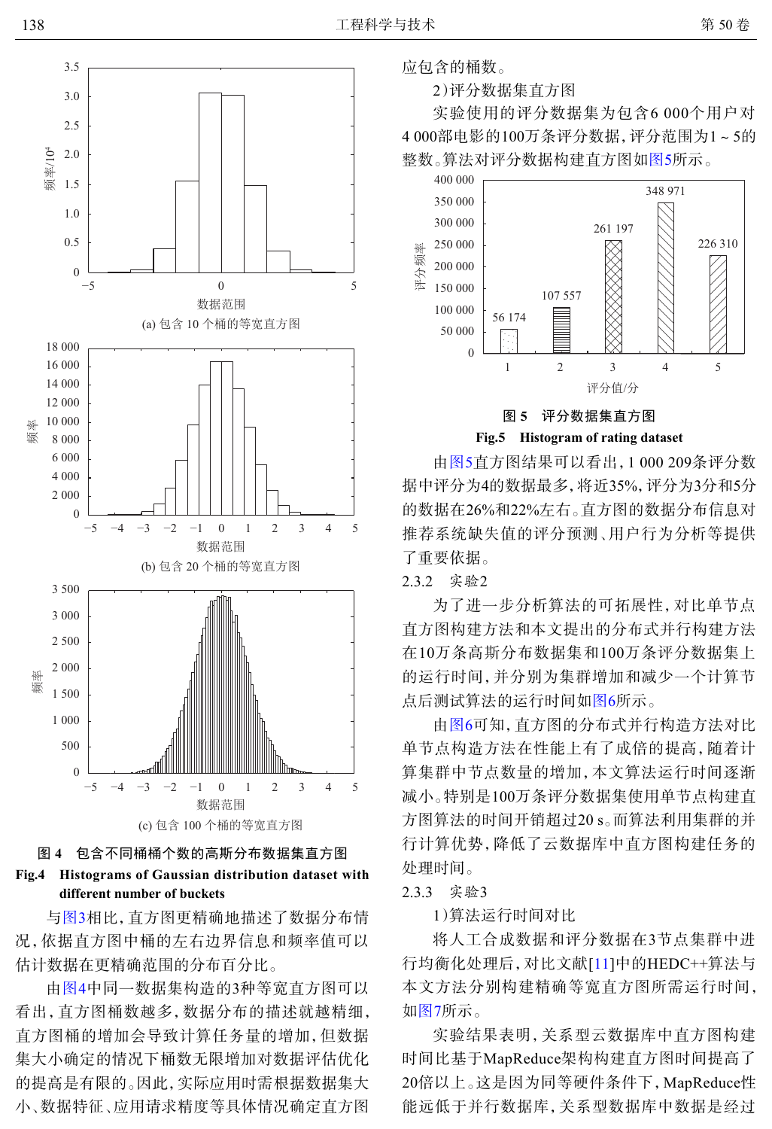<span id="page-5-0"></span>

图 **4** 包含不同桶桶个数的高斯分布数据集直方图

#### **Fig.4 Histograms of Gaussian distribution dataset with different number of buckets**

与[图](#page-4-0)[3](#page-4-0)相比,直方图更精确地描述了数据分布情 况,依据直方图中桶的左右边界信息和频率值可以 估计数据在更精确范围的分布百分比。

由[图](#page-5-0)[4](#page-5-0)中同一数据集构造的3种等宽直方图可以 看出,直方图桶数越多,数据分布的描述就越精细, 直方图桶的增加会导致计算任务量的增加,但数据 集大小确定的情况下桶数无限增加对数据评估优化 的提高是有限的。因此,实际应用时需根据数据集大 小、数据特征、应用请求精度等具体情况确定直方图 应包含的桶数。

2)评分数据集直方图

实验使用的评分数据集为包含6 000个用户对 4 000部电影的100万条评分数据,评分范围为1~5的 整数。算法对评分数据构建直方图如[图](#page-5-1)[5](#page-5-1)所示。

<span id="page-5-1"></span>

**Fig.5 Histogram of rating dataset**

由[图](#page-5-1)[5](#page-5-1)直方图结果可以看出,1 000 209条评分数 据中评分为4的数据最多,将近35%,评分为3分和5分 的数据在26%和22%左右。直方图的数据分布信息对 推荐系统缺失值的评分预测、用户行为分析等提供 了重要依据。

2.3.2 实验2

为了进一步分析算法的可拓展性,对比单节点 直方图构建方法和本文提出的分布式并行构建方法 在10万条高斯分布数据集和100万条评分数据集上 的运行时间,并分别为集群[增加](#page-6-0)和减少一个计算节 点后测[试算](#page-6-0)法的运行时间如[图](#page-6-0)[6](#page-6-0)所示。

由[图](#page-6-0)[6](#page-6-0)可知,直方图的分布式并行构造方法对比 单节点构造方法在性能上有了成倍的提高,随着计 算集群中节点数量的增加,本文算法运行时间逐渐 减小。特别是100万条评分数据集使用单节点构建直 方图算法的时间开销超过20 s。而算法利用集群的并 行计算优势,降低了云数据库中直方图构建任务的 处理时间。

2.3.3 实验3

1)算法运行时间对比

将人工合成数据和评[分数](#page-7-10)据在3节点集群中进 行均衡化处理后,对比文献[[11](#page-7-10)]中的HEDC++算法与 本[文方](#page-6-1)法分别构建精确等宽直方图所需运行时间, 如[图](#page-6-1)[7](#page-6-1)所示。

实验结果表明,关系型云数据库中直方图构建 时间比基于MapReduce架构构建直方图时间提高了 20倍以上。这是因为同等硬件条件下,MapReduce性 能远低于并行数据库,关系型数据库中数据是经过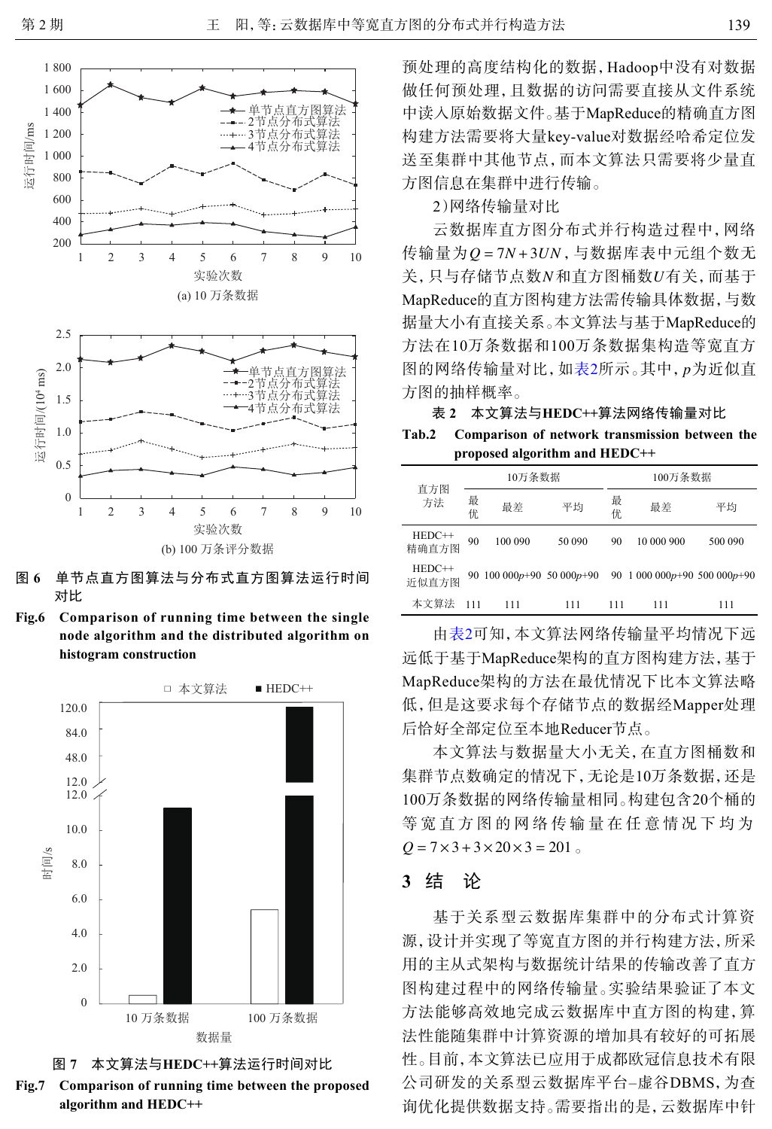<span id="page-6-0"></span>

图 **6** 单节点直方图算法与分布式直方图算法运行时间 对比

**Fig.6 Comparison of running time between the single node algorithm and the distributed algorithm on histogram construction**

<span id="page-6-1"></span>





预处理的高度结构化的数据,Hadoop中没有对数据 做任何预处理,且数据的访问需要直接从文件系统 中读入原始数据文件。基于MapReduce的精确直方图 构建方法需要将大量key-value对数据经哈希定位发 送至集群中其他节点,而本文算法只需要将少量直 方图信息在集群中进行传输。

#### 2)网络传输量对比

传输量为*Q* = 7*N* + 3U*N* , 与数据库表中元组个数无<br>关, 只与存储节点数 N 和直方图桶数 U有关, 而基于 图的网络传输量对比, 如表2所示。其中, *p*为近似直 云数据库直方图分布式并行构造过程中,网络 传输量为 $0 = 7N + 3UN$ ,与数据库表中元组个数无 MapReduce的直方图构建方法需传输具体数据,与数 据量大小有直接关系。本文算法与基于MapReduce的 方法在10万条数据和100万条数据集构造等宽直方 方图的抽样概率。

表 **2** 本文算法与**HEDC++**算法网络传输量对比 **Tab.2 Comparison of network transmission between the proposed algorithm and HEDC++**

| 直方图<br>方法         | 10万条数据 |         | 100万条数据 |         |                                                        |         |
|-------------------|--------|---------|---------|---------|--------------------------------------------------------|---------|
|                   | 最<br>优 | 最差      | 平均      | 最<br>优. | 最差                                                     | 平均      |
| HEDC++<br>精确直方图   | 90     | 100 090 | 50 090  | 90      | 10 000 900                                             | 500 090 |
| $HEDC++$<br>近似直方图 |        |         |         |         | 90 100 000p+90 50 000p+90 90 1 000 000p+90 500 000p+90 |         |
| 本文算法              | 111    | 111     | 111     | 111     | 111                                                    | 111     |

由表2可知,本文算法网络传输量平均情况下远 远低于基于MapReduce架构的直方图构建方法,基于 MapReduce架构的方法在最优情况下比本文算法略 低,但是这要求每个存储节点的数据经Mapper处理 后恰好全部定位至本地Reducer节点。

 $Q = 7 \times 3 + 3 \times 20 \times 3 = 201$ 本文算法与数据量大小无关,在直方图桶数和 集群节点数确定的情况下,无论是10万条数据,还是 100万条数据的网络传输量相同。构建包含20个桶的 等宽直方图的网络传输量在任意情况下均为

### **3** 结 论

基于关系型云数据库集群中的分布式计算资 源,设计并实现了等宽直方图的并行构建方法,所采 用的主从式架构与数据统计结果的传输改善了直方 图构建过程中的网络传输量。实验结果验证了本文 方法能够高效地完成云数据库中直方图的构建,算 法性能随集群中计算资源的增加具有较好的可拓展 性。目前,本文算法已应用于成都欧冠信息技术有限 公司研发的关系型云数据库平台–虚谷DBMS,为查 询优化提供数据支持。需要指出的是,云数据库中针